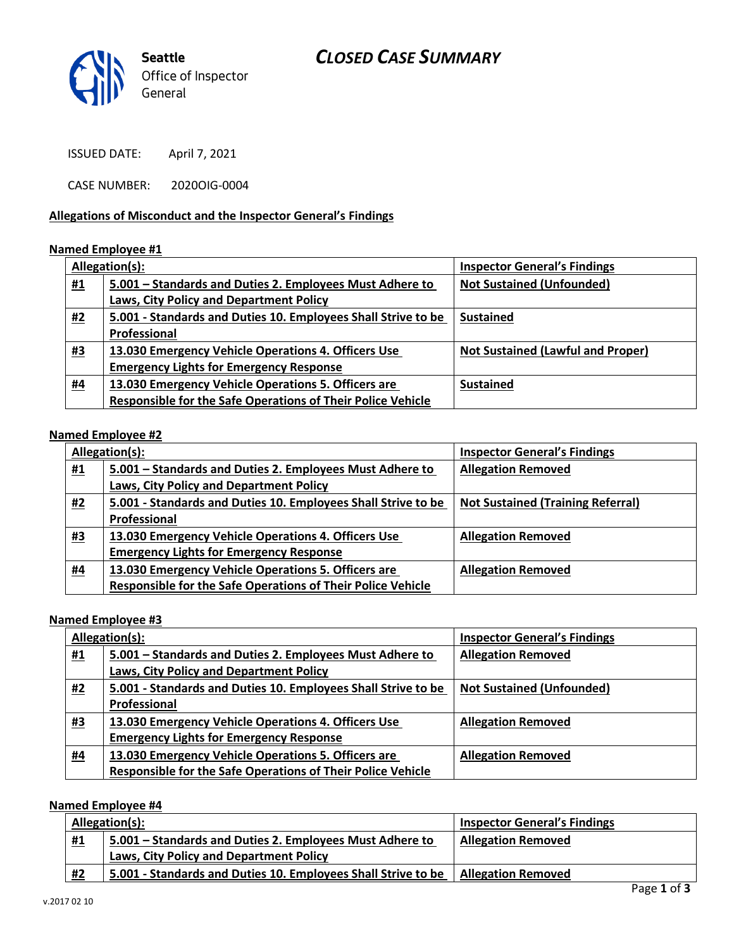# *CLOSED CASE SUMMARY*



ISSUED DATE: April 7, 2021

CASE NUMBER: 2020OIG-0004

### **Allegations of Misconduct and the Inspector General's Findings**

#### **Named Employee #1**

|           | Allegation(s):                                                     | <b>Inspector General's Findings</b>      |
|-----------|--------------------------------------------------------------------|------------------------------------------|
| <u>#1</u> | 5.001 – Standards and Duties 2. Employees Must Adhere to           | <b>Not Sustained (Unfounded)</b>         |
|           | Laws, City Policy and Department Policy                            |                                          |
| <u>#2</u> | 5.001 - Standards and Duties 10. Employees Shall Strive to be      | <b>Sustained</b>                         |
|           | Professional                                                       |                                          |
| <u>#3</u> | 13.030 Emergency Vehicle Operations 4. Officers Use                | <b>Not Sustained (Lawful and Proper)</b> |
|           | <b>Emergency Lights for Emergency Response</b>                     |                                          |
| <u>#4</u> | 13.030 Emergency Vehicle Operations 5. Officers are                | <b>Sustained</b>                         |
|           | <b>Responsible for the Safe Operations of Their Police Vehicle</b> |                                          |

### **Named Employee #2**

| Allegation(s): |                                                                    | <b>Inspector General's Findings</b>      |
|----------------|--------------------------------------------------------------------|------------------------------------------|
| <u>#1</u>      | 5.001 – Standards and Duties 2. Employees Must Adhere to           | <b>Allegation Removed</b>                |
|                | Laws, City Policy and Department Policy                            |                                          |
| <u>#2</u>      | 5.001 - Standards and Duties 10. Employees Shall Strive to be      | <b>Not Sustained (Training Referral)</b> |
|                | Professional                                                       |                                          |
| <u>#3</u>      | 13.030 Emergency Vehicle Operations 4. Officers Use                | <b>Allegation Removed</b>                |
|                | <b>Emergency Lights for Emergency Response</b>                     |                                          |
| <u>#4</u>      | 13.030 Emergency Vehicle Operations 5. Officers are                | <b>Allegation Removed</b>                |
|                | <b>Responsible for the Safe Operations of Their Police Vehicle</b> |                                          |

#### **Named Employee #3**

|           | Allegation(s):                                                | <b>Inspector General's Findings</b> |
|-----------|---------------------------------------------------------------|-------------------------------------|
| <u>#1</u> | 5.001 – Standards and Duties 2. Employees Must Adhere to      | <b>Allegation Removed</b>           |
|           | Laws, City Policy and Department Policy                       |                                     |
| <u>#2</u> | 5.001 - Standards and Duties 10. Employees Shall Strive to be | <b>Not Sustained (Unfounded)</b>    |
|           | Professional                                                  |                                     |
| <u>#3</u> | 13.030 Emergency Vehicle Operations 4. Officers Use           | <b>Allegation Removed</b>           |
|           | <b>Emergency Lights for Emergency Response</b>                |                                     |
| <u>#4</u> | 13.030 Emergency Vehicle Operations 5. Officers are           | <b>Allegation Removed</b>           |
|           | Responsible for the Safe Operations of Their Police Vehicle   |                                     |

# **Named Employee #4**

|           | Allegation(s):                                                | <b>Inspector General's Findings</b> |  |
|-----------|---------------------------------------------------------------|-------------------------------------|--|
| <u>#1</u> | 5.001 – Standards and Duties 2. Employees Must Adhere to      | <b>Allegation Removed</b>           |  |
|           | Laws, City Policy and Department Policy                       |                                     |  |
| #2        | 5.001 - Standards and Duties 10. Employees Shall Strive to be | <b>Allegation Removed</b>           |  |
|           |                                                               | . .<br>$\sim$                       |  |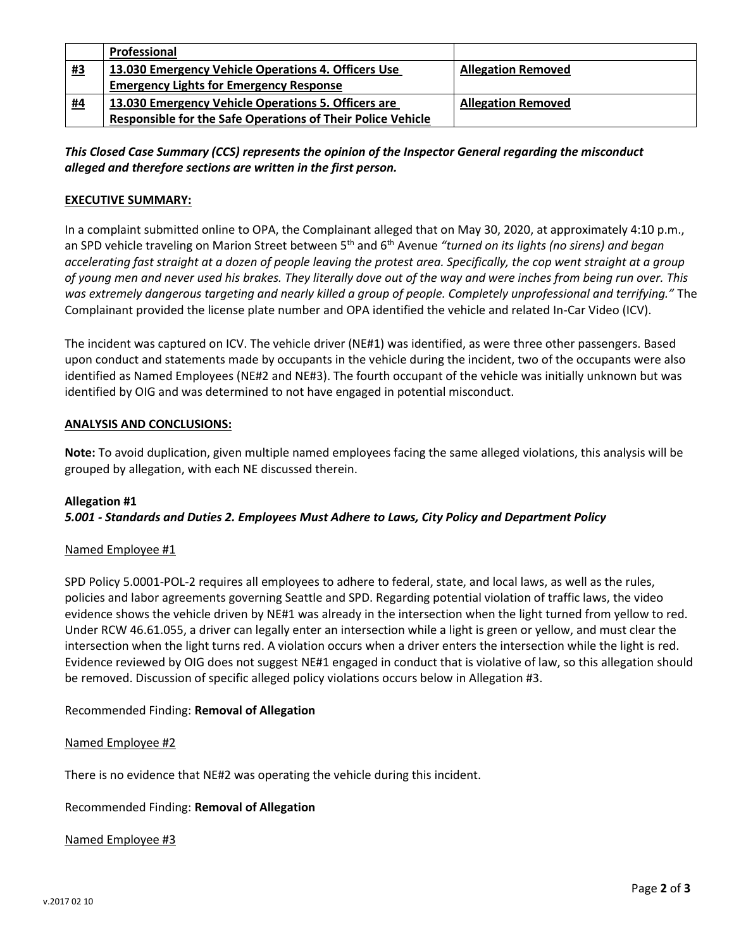|           | Professional                                                       |                           |
|-----------|--------------------------------------------------------------------|---------------------------|
| #3        | 13.030 Emergency Vehicle Operations 4. Officers Use                | <b>Allegation Removed</b> |
|           | <b>Emergency Lights for Emergency Response</b>                     |                           |
| <u>#4</u> | 13.030 Emergency Vehicle Operations 5. Officers are                | <b>Allegation Removed</b> |
|           | <b>Responsible for the Safe Operations of Their Police Vehicle</b> |                           |

# *This Closed Case Summary (CCS) represents the opinion of the Inspector General regarding the misconduct alleged and therefore sections are written in the first person.*

## **EXECUTIVE SUMMARY:**

In a complaint submitted online to OPA, the Complainant alleged that on May 30, 2020, at approximately 4:10 p.m., an SPD vehicle traveling on Marion Street between 5th and 6th Avenue *"turned on its lights (no sirens) and began accelerating fast straight at a dozen of people leaving the protest area. Specifically, the cop went straight at a group of young men and never used his brakes. They literally dove out of the way and were inches from being run over. This was extremely dangerous targeting and nearly killed a group of people. Completely unprofessional and terrifying."* The Complainant provided the license plate number and OPA identified the vehicle and related In-Car Video (ICV).

The incident was captured on ICV. The vehicle driver (NE#1) was identified, as were three other passengers. Based upon conduct and statements made by occupants in the vehicle during the incident, two of the occupants were also identified as Named Employees (NE#2 and NE#3). The fourth occupant of the vehicle was initially unknown but was identified by OIG and was determined to not have engaged in potential misconduct.

#### **ANALYSIS AND CONCLUSIONS:**

**Note:** To avoid duplication, given multiple named employees facing the same alleged violations, this analysis will be grouped by allegation, with each NE discussed therein.

### **Allegation #1** *5.001 - Standards and Duties 2. Employees Must Adhere to Laws, City Policy and Department Policy*

### Named Employee #1

SPD Policy 5.0001-POL-2 requires all employees to adhere to federal, state, and local laws, as well as the rules, policies and labor agreements governing Seattle and SPD. Regarding potential violation of traffic laws, the video evidence shows the vehicle driven by NE#1 was already in the intersection when the light turned from yellow to red. Under RCW 46.61.055, a driver can legally enter an intersection while a light is green or yellow, and must clear the intersection when the light turns red. A violation occurs when a driver enters the intersection while the light is red. Evidence reviewed by OIG does not suggest NE#1 engaged in conduct that is violative of law, so this allegation should be removed. Discussion of specific alleged policy violations occurs below in Allegation #3.

### Recommended Finding: **Removal of Allegation**

#### Named Employee #2

There is no evidence that NE#2 was operating the vehicle during this incident.

#### Recommended Finding: **Removal of Allegation**

#### Named Employee #3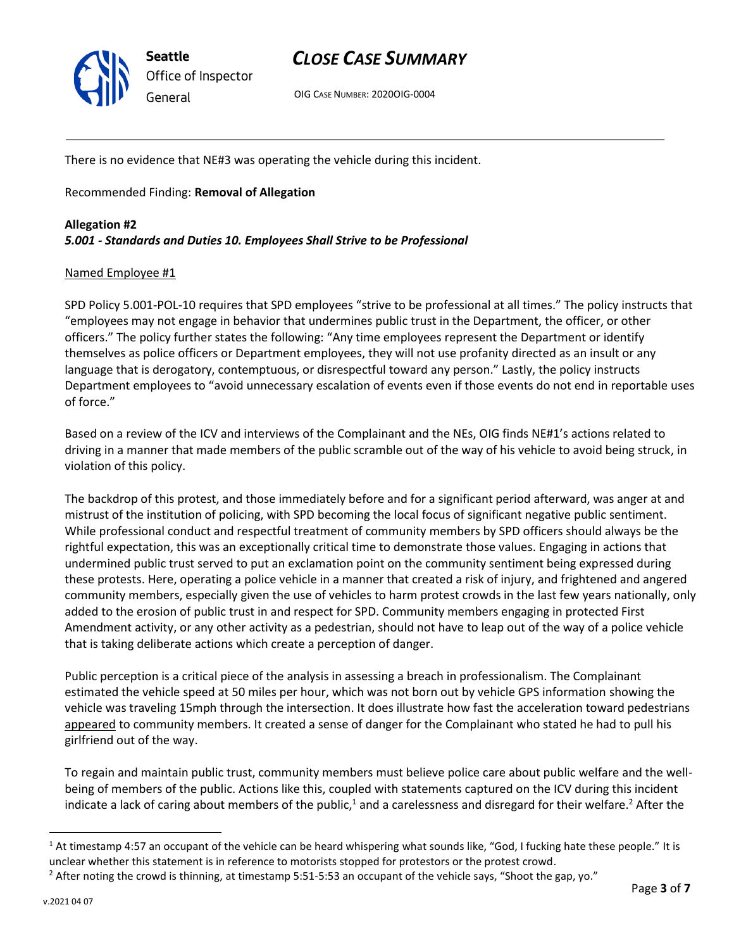

*General* OIG <sup>C</sup>ASE NUMBER: 2020OIG-0004

There is no evidence that NE#3 was operating the vehicle during this incident.

Recommended Finding: **Removal of Allegation**

# **Allegation #2** *5.001 - Standards and Duties 10. Employees Shall Strive to be Professional*

### Named Employee #1

SPD Policy 5.001-POL-10 requires that SPD employees "strive to be professional at all times." The policy instructs that "employees may not engage in behavior that undermines public trust in the Department, the officer, or other officers." The policy further states the following: "Any time employees represent the Department or identify themselves as police officers or Department employees, they will not use profanity directed as an insult or any language that is derogatory, contemptuous, or disrespectful toward any person." Lastly, the policy instructs Department employees to "avoid unnecessary escalation of events even if those events do not end in reportable uses of force."

Based on a review of the ICV and interviews of the Complainant and the NEs, OIG finds NE#1's actions related to driving in a manner that made members of the public scramble out of the way of his vehicle to avoid being struck, in violation of this policy.

The backdrop of this protest, and those immediately before and for a significant period afterward, was anger at and mistrust of the institution of policing, with SPD becoming the local focus of significant negative public sentiment. While professional conduct and respectful treatment of community members by SPD officers should always be the rightful expectation, this was an exceptionally critical time to demonstrate those values. Engaging in actions that undermined public trust served to put an exclamation point on the community sentiment being expressed during these protests. Here, operating a police vehicle in a manner that created a risk of injury, and frightened and angered community members, especially given the use of vehicles to harm protest crowds in the last few years nationally, only added to the erosion of public trust in and respect for SPD. Community members engaging in protected First Amendment activity, or any other activity as a pedestrian, should not have to leap out of the way of a police vehicle that is taking deliberate actions which create a perception of danger.

Public perception is a critical piece of the analysis in assessing a breach in professionalism. The Complainant estimated the vehicle speed at 50 miles per hour, which was not born out by vehicle GPS information showing the vehicle was traveling 15mph through the intersection. It does illustrate how fast the acceleration toward pedestrians appeared to community members. It created a sense of danger for the Complainant who stated he had to pull his girlfriend out of the way.

To regain and maintain public trust, community members must believe police care about public welfare and the wellbeing of members of the public. Actions like this, coupled with statements captured on the ICV during this incident indicate a lack of caring about members of the public,<sup>1</sup> and a carelessness and disregard for their welfare.<sup>2</sup> After the

 $1$  At timestamp 4:57 an occupant of the vehicle can be heard whispering what sounds like, "God, I fucking hate these people." It is unclear whether this statement is in reference to motorists stopped for protestors or the protest crowd.

 $2$  After noting the crowd is thinning, at timestamp 5:51-5:53 an occupant of the vehicle says, "Shoot the gap, yo."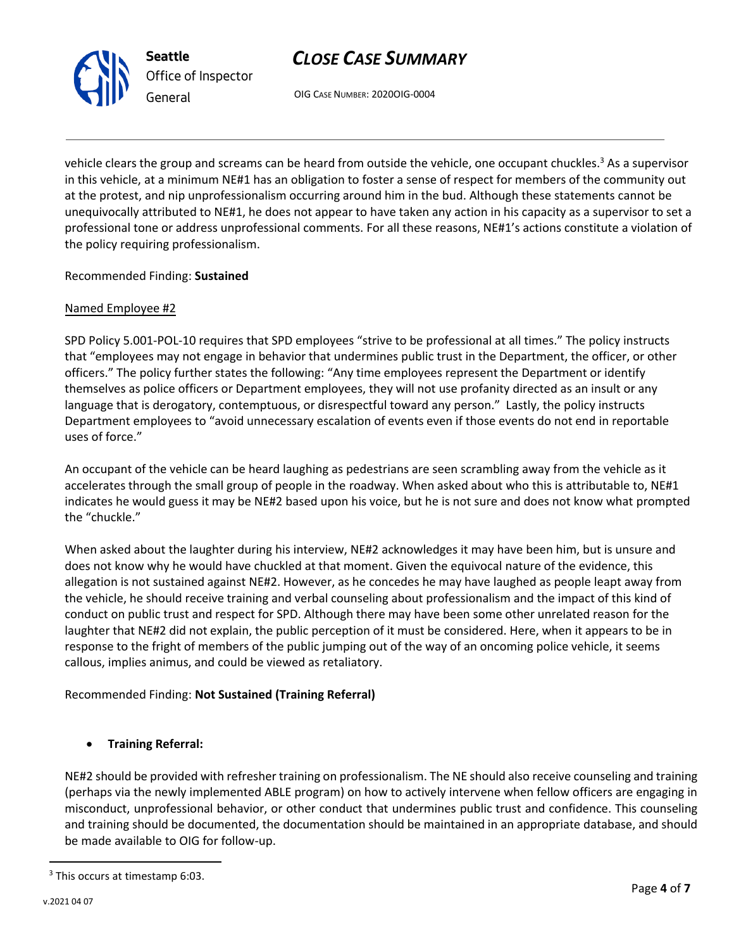

*General* OIG <sup>C</sup>ASE NUMBER: 2020OIG-0004

vehicle clears the group and screams can be heard from outside the vehicle, one occupant chuckles.<sup>3</sup> As a supervisor in this vehicle, at a minimum NE#1 has an obligation to foster a sense of respect for members of the community out at the protest, and nip unprofessionalism occurring around him in the bud. Although these statements cannot be unequivocally attributed to NE#1, he does not appear to have taken any action in his capacity as a supervisor to set a professional tone or address unprofessional comments. For all these reasons, NE#1's actions constitute a violation of the policy requiring professionalism.

### Recommended Finding: **Sustained**

### Named Employee #2

SPD Policy 5.001-POL-10 requires that SPD employees "strive to be professional at all times." The policy instructs that "employees may not engage in behavior that undermines public trust in the Department, the officer, or other officers." The policy further states the following: "Any time employees represent the Department or identify themselves as police officers or Department employees, they will not use profanity directed as an insult or any language that is derogatory, contemptuous, or disrespectful toward any person." Lastly, the policy instructs Department employees to "avoid unnecessary escalation of events even if those events do not end in reportable uses of force."

An occupant of the vehicle can be heard laughing as pedestrians are seen scrambling away from the vehicle as it accelerates through the small group of people in the roadway. When asked about who this is attributable to, NE#1 indicates he would guess it may be NE#2 based upon his voice, but he is not sure and does not know what prompted the "chuckle."

When asked about the laughter during his interview, NE#2 acknowledges it may have been him, but is unsure and does not know why he would have chuckled at that moment. Given the equivocal nature of the evidence, this allegation is not sustained against NE#2. However, as he concedes he may have laughed as people leapt away from the vehicle, he should receive training and verbal counseling about professionalism and the impact of this kind of conduct on public trust and respect for SPD. Although there may have been some other unrelated reason for the laughter that NE#2 did not explain, the public perception of it must be considered. Here, when it appears to be in response to the fright of members of the public jumping out of the way of an oncoming police vehicle, it seems callous, implies animus, and could be viewed as retaliatory.

# Recommended Finding: **Not Sustained (Training Referral)**

# • **Training Referral:**

NE#2 should be provided with refresher training on professionalism. The NE should also receive counseling and training (perhaps via the newly implemented ABLE program) on how to actively intervene when fellow officers are engaging in misconduct, unprofessional behavior, or other conduct that undermines public trust and confidence. This counseling and training should be documented, the documentation should be maintained in an appropriate database, and should be made available to OIG for follow-up.

<sup>&</sup>lt;sup>3</sup> This occurs at timestamp 6:03.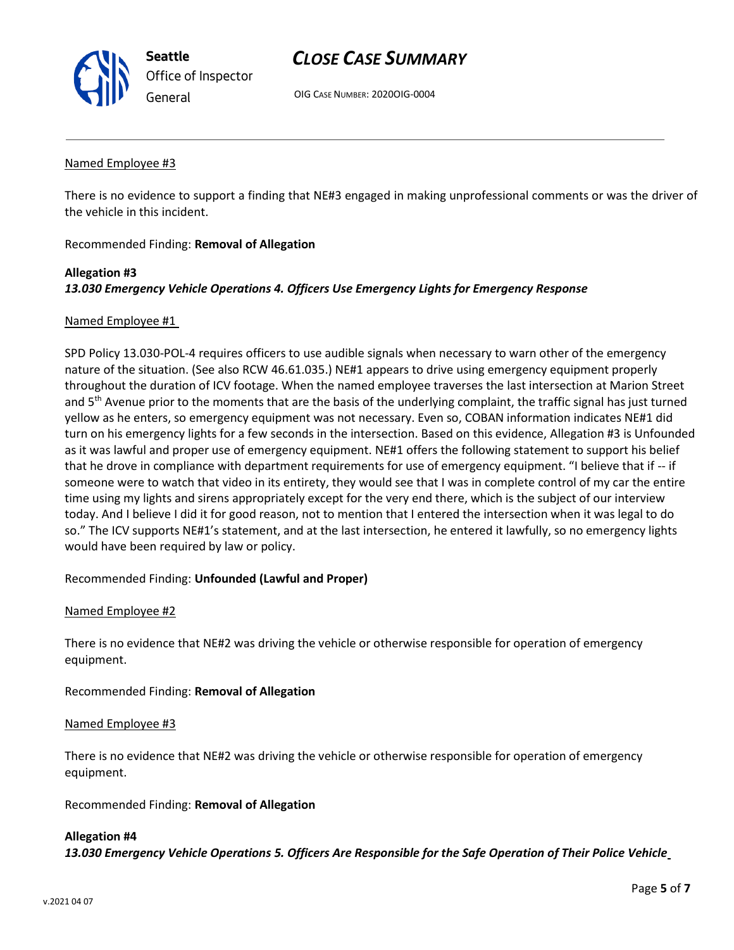

*General* OIG <sup>C</sup>ASE NUMBER: 2020OIG-0004

#### Named Employee #3

There is no evidence to support a finding that NE#3 engaged in making unprofessional comments or was the driver of the vehicle in this incident.

### Recommended Finding: **Removal of Allegation**

# **Allegation #3** *13.030 Emergency Vehicle Operations 4. Officers Use Emergency Lights for Emergency Response*

#### Named Employee #1

SPD Policy 13.030-POL-4 requires officers to use audible signals when necessary to warn other of the emergency nature of the situation. (See also RCW 46.61.035.) NE#1 appears to drive using emergency equipment properly throughout the duration of ICV footage. When the named employee traverses the last intersection at Marion Street and  $5<sup>th</sup>$  Avenue prior to the moments that are the basis of the underlying complaint, the traffic signal has just turned yellow as he enters, so emergency equipment was not necessary. Even so, COBAN information indicates NE#1 did turn on his emergency lights for a few seconds in the intersection. Based on this evidence, Allegation #3 is Unfounded as it was lawful and proper use of emergency equipment. NE#1 offers the following statement to support his belief that he drove in compliance with department requirements for use of emergency equipment. "I believe that if -- if someone were to watch that video in its entirety, they would see that I was in complete control of my car the entire time using my lights and sirens appropriately except for the very end there, which is the subject of our interview today. And I believe I did it for good reason, not to mention that I entered the intersection when it was legal to do so." The ICV supports NE#1's statement, and at the last intersection, he entered it lawfully, so no emergency lights would have been required by law or policy.

### Recommended Finding: **Unfounded (Lawful and Proper)**

### Named Employee #2

There is no evidence that NE#2 was driving the vehicle or otherwise responsible for operation of emergency equipment.

### Recommended Finding: **Removal of Allegation**

#### Named Employee #3

There is no evidence that NE#2 was driving the vehicle or otherwise responsible for operation of emergency equipment.

Recommended Finding: **Removal of Allegation**

#### **Allegation #4**

*13.030 Emergency Vehicle Operations 5. Officers Are Responsible for the Safe Operation of Their Police Vehicle*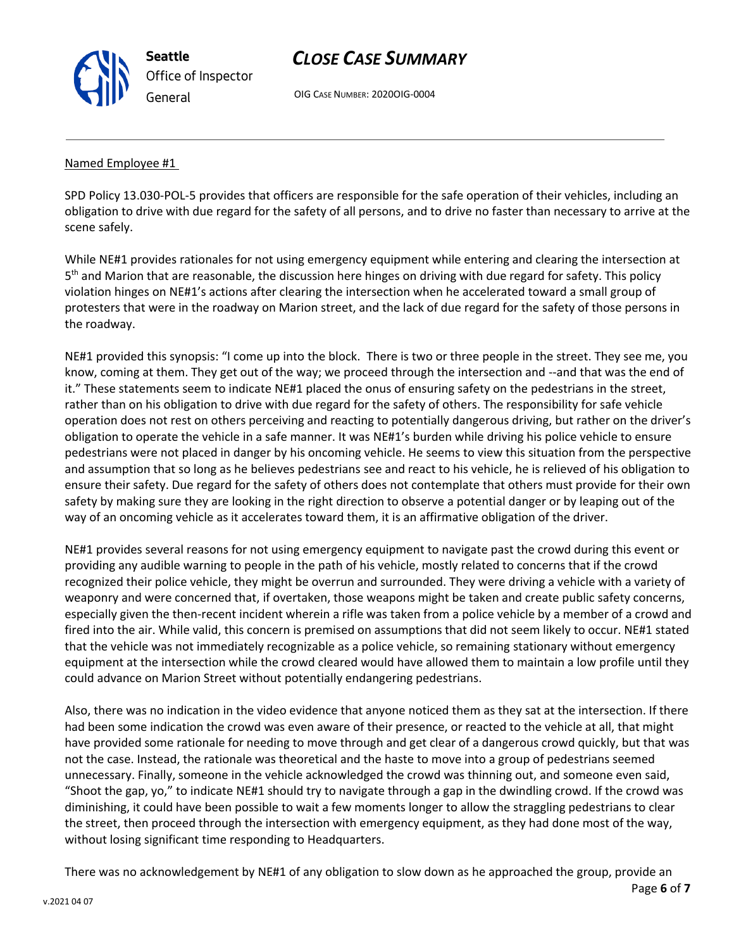

*General* OIG <sup>C</sup>ASE NUMBER: 2020OIG-0004

### Named Employee #1

SPD Policy 13.030-POL-5 provides that officers are responsible for the safe operation of their vehicles, including an obligation to drive with due regard for the safety of all persons, and to drive no faster than necessary to arrive at the scene safely.

While NE#1 provides rationales for not using emergency equipment while entering and clearing the intersection at 5<sup>th</sup> and Marion that are reasonable, the discussion here hinges on driving with due regard for safety. This policy violation hinges on NE#1's actions after clearing the intersection when he accelerated toward a small group of protesters that were in the roadway on Marion street, and the lack of due regard for the safety of those persons in the roadway.

NE#1 provided this synopsis: "I come up into the block. There is two or three people in the street. They see me, you know, coming at them. They get out of the way; we proceed through the intersection and --and that was the end of it." These statements seem to indicate NE#1 placed the onus of ensuring safety on the pedestrians in the street, rather than on his obligation to drive with due regard for the safety of others. The responsibility for safe vehicle operation does not rest on others perceiving and reacting to potentially dangerous driving, but rather on the driver's obligation to operate the vehicle in a safe manner. It was NE#1's burden while driving his police vehicle to ensure pedestrians were not placed in danger by his oncoming vehicle. He seems to view this situation from the perspective and assumption that so long as he believes pedestrians see and react to his vehicle, he is relieved of his obligation to ensure their safety. Due regard for the safety of others does not contemplate that others must provide for their own safety by making sure they are looking in the right direction to observe a potential danger or by leaping out of the way of an oncoming vehicle as it accelerates toward them, it is an affirmative obligation of the driver.

NE#1 provides several reasons for not using emergency equipment to navigate past the crowd during this event or providing any audible warning to people in the path of his vehicle, mostly related to concerns that if the crowd recognized their police vehicle, they might be overrun and surrounded. They were driving a vehicle with a variety of weaponry and were concerned that, if overtaken, those weapons might be taken and create public safety concerns, especially given the then-recent incident wherein a rifle was taken from a police vehicle by a member of a crowd and fired into the air. While valid, this concern is premised on assumptions that did not seem likely to occur. NE#1 stated that the vehicle was not immediately recognizable as a police vehicle, so remaining stationary without emergency equipment at the intersection while the crowd cleared would have allowed them to maintain a low profile until they could advance on Marion Street without potentially endangering pedestrians.

Also, there was no indication in the video evidence that anyone noticed them as they sat at the intersection. If there had been some indication the crowd was even aware of their presence, or reacted to the vehicle at all, that might have provided some rationale for needing to move through and get clear of a dangerous crowd quickly, but that was not the case. Instead, the rationale was theoretical and the haste to move into a group of pedestrians seemed unnecessary. Finally, someone in the vehicle acknowledged the crowd was thinning out, and someone even said, "Shoot the gap, yo," to indicate NE#1 should try to navigate through a gap in the dwindling crowd. If the crowd was diminishing, it could have been possible to wait a few moments longer to allow the straggling pedestrians to clear the street, then proceed through the intersection with emergency equipment, as they had done most of the way, without losing significant time responding to Headquarters.

There was no acknowledgement by NE#1 of any obligation to slow down as he approached the group, provide an

Page **6** of **7**